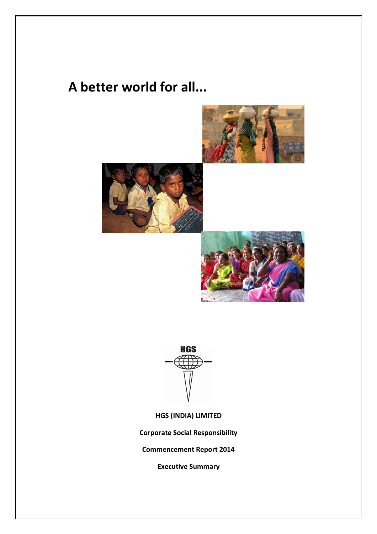# **A better world for all...**









**HGS (INDIA) LIMITED**

**Corporate Social Responsibility**

**Commencement Report 2014**

**Executive Summary**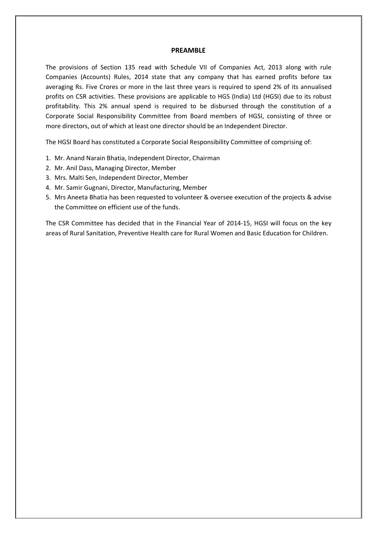### **PREAMBLE**

The provisions of Section 135 read with Schedule VII of Companies Act, 2013 along with rule Companies (Accounts) Rules, 2014 state that any company that has earned profits before tax averaging Rs. Five Crores or more in the last three years is required to spend 2% of its annualised profits on CSR activities. These provisions are applicable to HGS (India) Ltd (HGSI) due to its robust profitability. This 2% annual spend is required to be disbursed through the constitution of a Corporate Social Responsibility Committee from Board members of HGSI, consisting of three or more directors, out of which at least one director should be an Independent Director.

The HGSI Board has constituted a Corporate Social Responsibility Committee of comprising of:

- 1. Mr. Anand Narain Bhatia, Independent Director, Chairman
- 2. Mr. Anil Dass, Managing Director, Member
- 3. Mrs. Malti Sen, Independent Director, Member
- 4. Mr. Samir Gugnani, Director, Manufacturing, Member
- 5. Mrs Aneeta Bhatia has been requested to volunteer & oversee execution of the projects & advise the Committee on efficient use of the funds.

The CSR Committee has decided that in the Financial Year of 2014-15, HGSI will focus on the key areas of Rural Sanitation, Preventive Health care for Rural Women and Basic Education for Children.